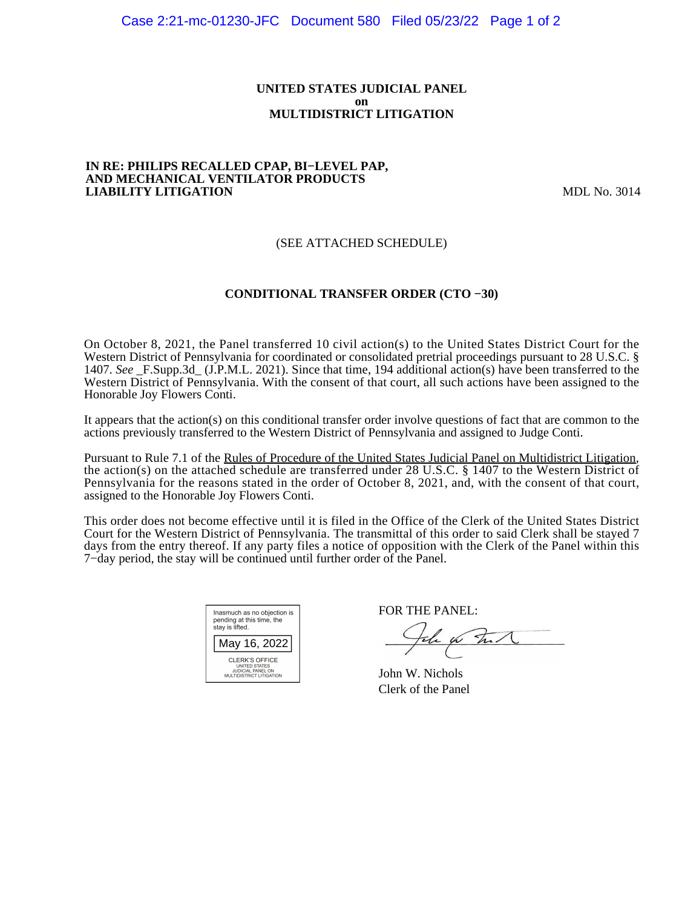#### **UNITED STATES JUDICIAL PANEL on MULTIDISTRICT LITIGATION**

#### **IN RE: PHILIPS RECALLED CPAP, BI−LEVEL PAP, AND MECHANICAL VENTILATOR PRODUCTS LIABILITY LITIGATION** MDL No. 3014

# (SEE ATTACHED SCHEDULE)

# **CONDITIONAL TRANSFER ORDER (CTO −30)**

On October 8, 2021, the Panel transferred 10 civil action(s) to the United States District Court for the Western District of Pennsylvania for coordinated or consolidated pretrial proceedings pursuant to 28 U.S.C. § 1407. *See* \_F.Supp.3d\_ (J.P.M.L. 2021). Since that time, 194 additional action(s) have been transferred to the Western District of Pennsylvania. With the consent of that court, all such actions have been assigned to the Honorable Joy Flowers Conti.

It appears that the action(s) on this conditional transfer order involve questions of fact that are common to the actions previously transferred to the Western District of Pennsylvania and assigned to Judge Conti.

Pursuant to Rule 7.1 of the Rules of Procedure of the United States Judicial Panel on Multidistrict Litigation, the action(s) on the attached schedule are transferred under 28 U.S.C. § 1407 to the Western District of Pennsylvania for the reasons stated in the order of October 8, 2021, and, with the consent of that court, assigned to the Honorable Joy Flowers Conti.

This order does not become effective until it is filed in the Office of the Clerk of the United States District Court for the Western District of Pennsylvania. The transmittal of this order to said Clerk shall be stayed 7 days from the entry thereof. If any party files a notice of opposition with the Clerk of the Panel within this 7−day period, the stay will be continued until further order of the Panel.

| Inasmuch as no objection is<br>pending at this time, the<br>stay is lifted.                    |  |  |  |  |
|------------------------------------------------------------------------------------------------|--|--|--|--|
| May 16, 2022                                                                                   |  |  |  |  |
| <b>CLERK'S OFFICE</b><br><b>UNITED STATES</b><br>JUDICIAL PANEL ON<br>MULTIDISTRICT LITIGATION |  |  |  |  |

FOR THE PANEL:

the for Int

John W. Nichols Clerk of the Panel